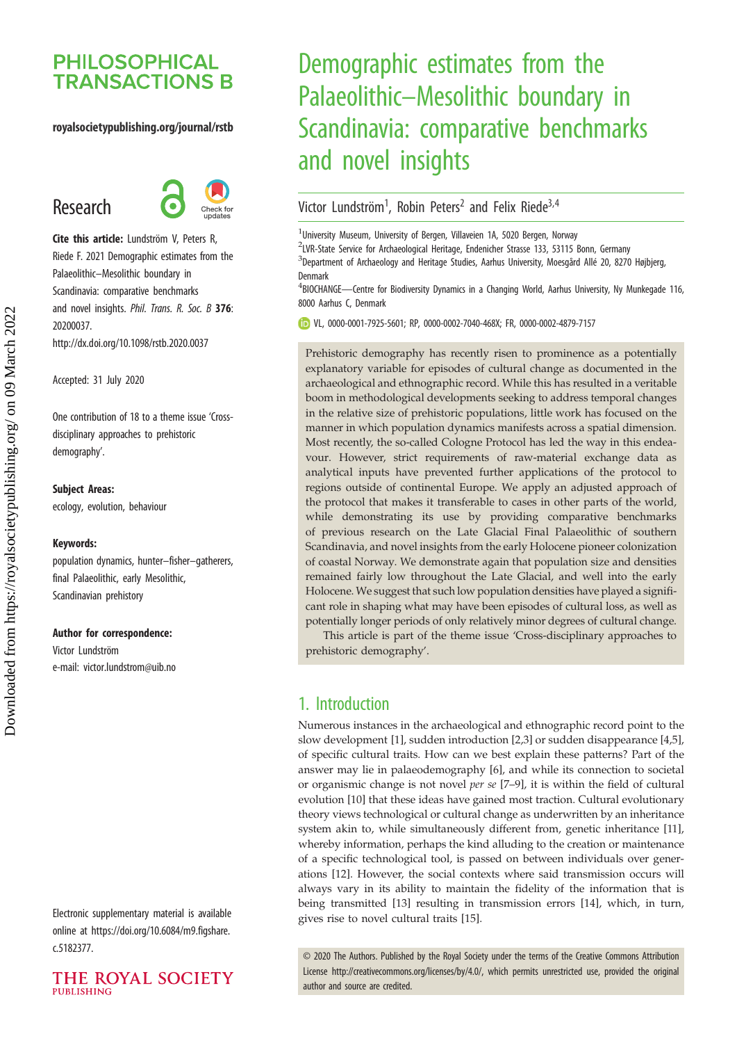## **PHILOSOPHICAL TRANSACTIONS B**

#### royalsocietypublishing.org/journal/rstb

# Research



Cite this article: Lundström V, Peters R, Riede F. 2021 Demographic estimates from the Palaeolithic–Mesolithic boundary in Scandinavia: comparative benchmarks and novel insights. Phil. Trans. R. Soc. B 376: 20200037. http://dx.doi.org/10.1098/rstb.2020.0037

Accepted: 31 July 2020

One contribution of 18 to a theme issue '[Cross](http://dx.doi.org/10.1098/rstb/376/1816)[disciplinary approaches to prehistoric](http://dx.doi.org/10.1098/rstb/376/1816) [demography](http://dx.doi.org/10.1098/rstb/376/1816)'.

#### Subject Areas:

ecology, evolution, behaviour

#### Keywords:

population dynamics, hunter–fisher–gatherers, final Palaeolithic, early Mesolithic, Scandinavian prehistory

#### Author for correspondence:

Victor Lundström e-mail: [victor.lundstrom@uib.no](mailto:victor.lundstrom@uib.no)

Electronic supplementary material is available online at [https://doi.org/10.6084/m9.figshare.](https://doi.org/10.6084/m9.figshare.c.5182377) [c.5182377.](https://doi.org/10.6084/m9.figshare.c.5182377)



# Demographic estimates from the Palaeolithic–Mesolithic boundary in Scandinavia: comparative benchmarks and novel insights

## Victor Lundström<sup>1</sup>, Robin Peters<sup>2</sup> and Felix Riede<sup>3,4</sup>

<sup>1</sup>University Museum, University of Bergen, Villaveien 1A, 5020 Bergen, Norway

<sup>2</sup>LVR-State Service for Archaeological Heritage, Endenicher Strasse 133, 53115 Bonn, Germany <sup>3</sup>Department of Archaeology and Heritage Studies, Aarhus University, Moesgård Allé 20, 8270 Højbjerg, Denmark

<sup>4</sup>BIOCHANGE—Centre for Biodiversity Dynamics in a Changing World, Aarhus University, Ny Munkegade 116, 8000 Aarhus C, Denmark

VL, [0000-0001-7925-5601](http://orcid.org/0000-0001-7925-5601); RP, [0000-0002-7040-468X;](http://orcid.org/0000-0002-7040-468X) FR, [0000-0002-4879-7157](http://orcid.org/0000-0002-4879-7157)

Prehistoric demography has recently risen to prominence as a potentially explanatory variable for episodes of cultural change as documented in the archaeological and ethnographic record. While this has resulted in a veritable boom in methodological developments seeking to address temporal changes in the relative size of prehistoric populations, little work has focused on the manner in which population dynamics manifests across a spatial dimension. Most recently, the so-called Cologne Protocol has led the way in this endeavour. However, strict requirements of raw-material exchange data as analytical inputs have prevented further applications of the protocol to regions outside of continental Europe. We apply an adjusted approach of the protocol that makes it transferable to cases in other parts of the world, while demonstrating its use by providing comparative benchmarks of previous research on the Late Glacial Final Palaeolithic of southern Scandinavia, and novel insights from the early Holocene pioneer colonization of coastal Norway. We demonstrate again that population size and densities remained fairly low throughout the Late Glacial, and well into the early Holocene. We suggest that such low population densities have played a significant role in shaping what may have been episodes of cultural loss, as well as potentially longer periods of only relatively minor degrees of cultural change.

This article is part of the theme issue 'Cross-disciplinary approaches to prehistoric demography'.

## 1. Introduction

Numerous instances in the archaeological and ethnographic record point to the slow development [[1](#page-6-0)], sudden introduction [\[2,3](#page-6-0)] or sudden disappearance [\[4,5\]](#page-6-0), of specific cultural traits. How can we best explain these patterns? Part of the answer may lie in palaeodemography [\[6](#page-6-0)], and while its connection to societal or organismic change is not novel per se [\[7](#page-6-0)–[9\]](#page-6-0), it is within the field of cultural evolution [[10\]](#page-6-0) that these ideas have gained most traction. Cultural evolutionary theory views technological or cultural change as underwritten by an inheritance system akin to, while simultaneously different from, genetic inheritance [\[11\]](#page-6-0), whereby information, perhaps the kind alluding to the creation or maintenance of a specific technological tool, is passed on between individuals over generations [[12\]](#page-6-0). However, the social contexts where said transmission occurs will always vary in its ability to maintain the fidelity of the information that is being transmitted [[13\]](#page-6-0) resulting in transmission errors [\[14](#page-6-0)], which, in turn, gives rise to novel cultural traits [[15\]](#page-6-0).

© 2020 The Authors. Published by the Royal Society under the terms of the Creative Commons Attribution License<http://creativecommons.org/licenses/by/4.0/>, which permits unrestricted use, provided the original author and source are credited.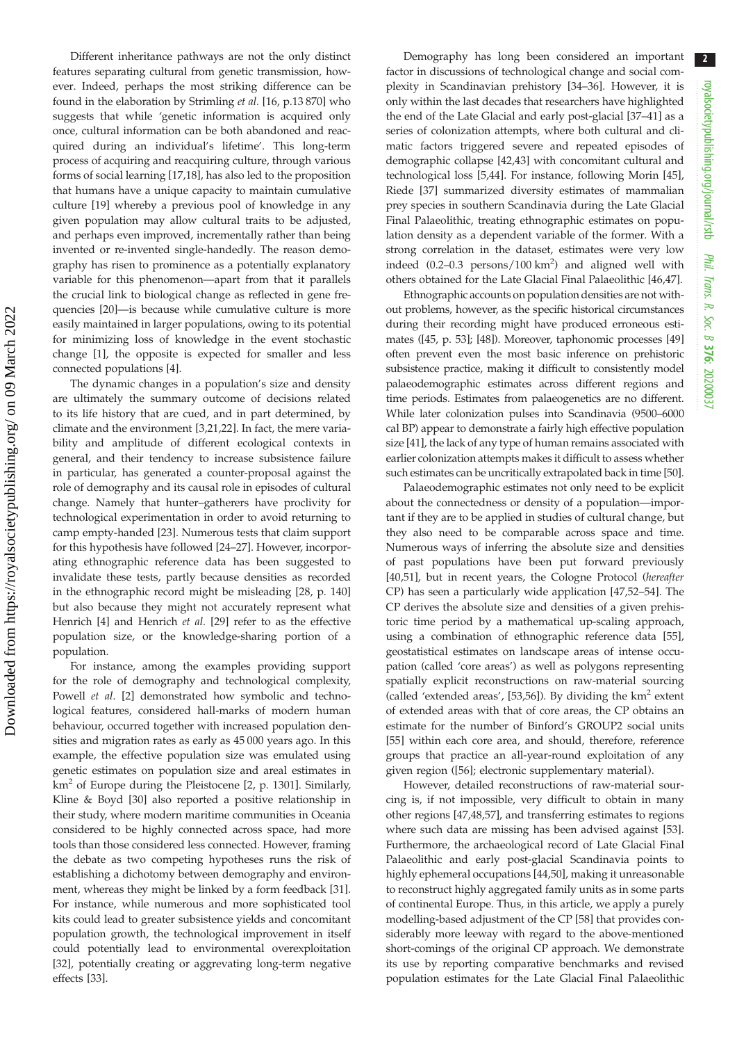Different inheritance pathways are not the only distinct features separating cultural from genetic transmission, however. Indeed, perhaps the most striking difference can be found in the elaboration by Strimling et al. [[16,](#page-6-0) p.13 870] who suggests that while 'genetic information is acquired only once, cultural information can be both abandoned and reacquired during an individual's lifetime'. This long-term process of acquiring and reacquiring culture, through various forms of social learning [[17](#page-6-0)[,18](#page-7-0)], has also led to the proposition that humans have a unique capacity to maintain cumulative culture [[19\]](#page-7-0) whereby a previous pool of knowledge in any given population may allow cultural traits to be adjusted, and perhaps even improved, incrementally rather than being invented or re-invented single-handedly. The reason demography has risen to prominence as a potentially explanatory variable for this phenomenon—apart from that it parallels the crucial link to biological change as reflected in gene frequencies [\[20](#page-7-0)]—is because while cumulative culture is more easily maintained in larger populations, owing to its potential for minimizing loss of knowledge in the event stochastic change [\[1\]](#page-6-0), the opposite is expected for smaller and less connected populations [\[4\]](#page-6-0).

The dynamic changes in a population's size and density are ultimately the summary outcome of decisions related to its life history that are cued, and in part determined, by climate and the environment [[3](#page-6-0),[21,22\]](#page-7-0). In fact, the mere variability and amplitude of different ecological contexts in general, and their tendency to increase subsistence failure in particular, has generated a counter-proposal against the role of demography and its causal role in episodes of cultural change. Namely that hunter–gatherers have proclivity for technological experimentation in order to avoid returning to camp empty-handed [\[23](#page-7-0)]. Numerous tests that claim support for this hypothesis have followed [\[24](#page-7-0)–[27\]](#page-7-0). However, incorporating ethnographic reference data has been suggested to invalidate these tests, partly because densities as recorded in the ethnographic record might be misleading [[28,](#page-7-0) p. 140] but also because they might not accurately represent what Henrich [\[4\]](#page-6-0) and Henrich et al. [\[29](#page-7-0)] refer to as the effective population size, or the knowledge-sharing portion of a population.

For instance, among the examples providing support for the role of demography and technological complexity, Powell et al. [\[2\]](#page-6-0) demonstrated how symbolic and technological features, considered hall-marks of modern human behaviour, occurred together with increased population densities and migration rates as early as 45 000 years ago. In this example, the effective population size was emulated using genetic estimates on population size and areal estimates in  $km<sup>2</sup>$  $km<sup>2</sup>$  $km<sup>2</sup>$  of Europe during the Pleistocene [2, p. 1301]. Similarly, Kline & Boyd [[30\]](#page-7-0) also reported a positive relationship in their study, where modern maritime communities in Oceania considered to be highly connected across space, had more tools than those considered less connected. However, framing the debate as two competing hypotheses runs the risk of establishing a dichotomy between demography and environment, whereas they might be linked by a form feedback [\[31](#page-7-0)]. For instance, while numerous and more sophisticated tool kits could lead to greater subsistence yields and concomitant population growth, the technological improvement in itself could potentially lead to environmental overexploitation [\[32](#page-7-0)], potentially creating or aggrevating long-term negative effects [\[33](#page-7-0)].

Demography has long been considered an important factor in discussions of technological change and social complexity in Scandinavian prehistory [\[34](#page-7-0)–[36\]](#page-7-0). However, it is only within the last decades that researchers have highlighted the end of the Late Glacial and early post-glacial [\[37](#page-7-0)–[41\]](#page-7-0) as a series of colonization attempts, where both cultural and climatic factors triggered severe and repeated episodes of demographic collapse [[42,43](#page-7-0)] with concomitant cultural and technological loss [\[5](#page-6-0)[,44](#page-7-0)]. For instance, following Morin [[45\]](#page-7-0), Riede [[37\]](#page-7-0) summarized diversity estimates of mammalian prey species in southern Scandinavia during the Late Glacial Final Palaeolithic, treating ethnographic estimates on population density as a dependent variable of the former. With a strong correlation in the dataset, estimates were very low indeed  $(0.2-0.3$  persons/100 km<sup>2</sup>) and aligned well with others obtained for the Late Glacial Final Palaeolithic [\[46](#page-7-0),[47\]](#page-7-0).

Ethnographic accounts on population densities are not without problems, however, as the specific historical circumstances during their recording might have produced erroneous estimates ([\[45,](#page-7-0) p. 53]; [[48\]](#page-7-0)). Moreover, taphonomic processes [\[49\]](#page-7-0) often prevent even the most basic inference on prehistoric subsistence practice, making it difficult to consistently model palaeodemographic estimates across different regions and time periods. Estimates from palaeogenetics are no different. While later colonization pulses into Scandinavia (9500–6000 cal BP) appear to demonstrate a fairly high effective population size [\[41\]](#page-7-0), the lack of any type of human remains associated with earlier colonization attempts makes it difficult to assess whether such estimates can be uncritically extrapolated back in time [\[50\]](#page-7-0).

Palaeodemographic estimates not only need to be explicit about the connectedness or density of a population—important if they are to be applied in studies of cultural change, but they also need to be comparable across space and time. Numerous ways of inferring the absolute size and densities of past populations have been put forward previously [[40,51\]](#page-7-0), but in recent years, the Cologne Protocol (hereafter CP) has seen a particularly wide application [[47,52](#page-7-0)–[54\]](#page-7-0). The CP derives the absolute size and densities of a given prehistoric time period by a mathematical up-scaling approach, using a combination of ethnographic reference data [[55\]](#page-7-0), geostatistical estimates on landscape areas of intense occupation (called 'core areas') as well as polygons representing spatially explicit reconstructions on raw-material sourcing (called 'extended areas', [\[53,56](#page-7-0)]). By dividing the  $km<sup>2</sup>$  extent of extended areas with that of core areas, the CP obtains an estimate for the number of Binford's GROUP2 social units [[55\]](#page-7-0) within each core area, and should, therefore, reference groups that practice an all-year-round exploitation of any given region ([\[56](#page-7-0)]; electronic supplementary material).

However, detailed reconstructions of raw-material sourcing is, if not impossible, very difficult to obtain in many other regions [\[47,48](#page-7-0),[57\]](#page-7-0), and transferring estimates to regions where such data are missing has been advised against [[53\]](#page-7-0). Furthermore, the archaeological record of Late Glacial Final Palaeolithic and early post-glacial Scandinavia points to highly ephemeral occupations [[44,50](#page-7-0)], making it unreasonable to reconstruct highly aggregated family units as in some parts of continental Europe. Thus, in this article, we apply a purely modelling-based adjustment of the CP [[58\]](#page-7-0) that provides considerably more leeway with regard to the above-mentioned short-comings of the original CP approach. We demonstrate its use by reporting comparative benchmarks and revised population estimates for the Late Glacial Final Palaeolithic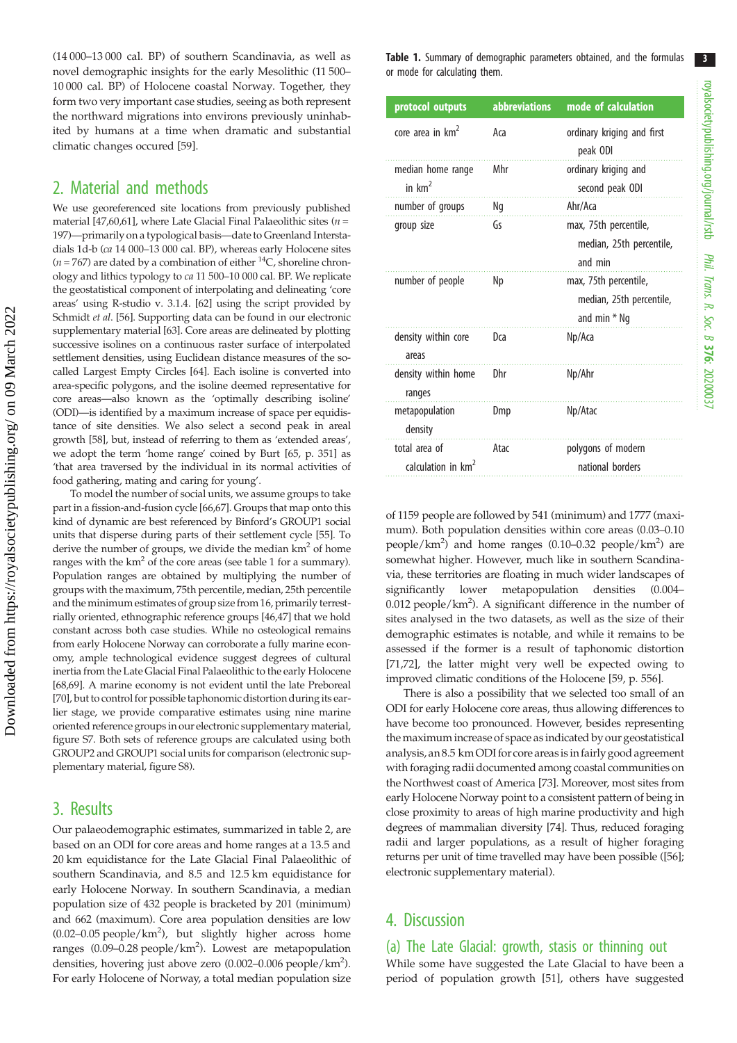(14 000–13 000 cal. BP) of southern Scandinavia, as well as novel demographic insights for the early Mesolithic (11 500– 10 000 cal. BP) of Holocene coastal Norway. Together, they form two very important case studies, seeing as both represent the northward migrations into environs previously uninhabited by humans at a time when dramatic and substantial climatic changes occured [\[59](#page-7-0)].

## 2. Material and methods

We use georeferenced site locations from previously published material [[47,60](#page-7-0)[,61\]](#page-8-0), where Late Glacial Final Palaeolithic sites ( $n =$ 197)—primarily on a typological basis—date to Greenland Interstadials 1d-b (ca 14 000–13 000 cal. BP), whereas early Holocene sites ( $n = 767$ ) are dated by a combination of either  ${}^{14}C$ , shoreline chronology and lithics typology to ca 11 500–10 000 cal. BP. We replicate the geostatistical component of interpolating and delineating 'core areas' using R-studio v. 3.1.4. [\[62\]](#page-8-0) using the script provided by Schmidt et al. [\[56\]](#page-7-0). Supporting data can be found in our electronic supplementary material [[63\]](#page-8-0). Core areas are delineated by plotting successive isolines on a continuous raster surface of interpolated settlement densities, using Euclidean distance measures of the socalled Largest Empty Circles [\[64\]](#page-8-0). Each isoline is converted into area-specific polygons, and the isoline deemed representative for core areas—also known as the 'optimally describing isoline' (ODI)—is identified by a maximum increase of space per equidistance of site densities. We also select a second peak in areal growth [\[58\]](#page-7-0), but, instead of referring to them as 'extended areas', we adopt the term 'home range' coined by Burt [[65,](#page-8-0) p. 351] as 'that area traversed by the individual in its normal activities of food gathering, mating and caring for young'.

To model the number of social units, we assume groups to take part in a fission-and-fusion cycle [[66,67](#page-8-0)]. Groups that map onto this kind of dynamic are best referenced by Binford's GROUP1 social units that disperse during parts of their settlement cycle [[55](#page-7-0)]. To derive the number of groups, we divide the median  $km<sup>2</sup>$  of home ranges with the  $km^2$  of the core areas (see table 1 for a summary). Population ranges are obtained by multiplying the number of groups with the maximum, 75th percentile, median, 25th percentile and the minimum estimates of group size from 16, primarily terrestrially oriented, ethnographic reference groups [[46,47\]](#page-7-0) that we hold constant across both case studies. While no osteological remains from early Holocene Norway can corroborate a fully marine economy, ample technological evidence suggest degrees of cultural inertia from the Late Glacial Final Palaeolithic to the early Holocene [\[68,69](#page-8-0)]. A marine economy is not evident until the late Preboreal [\[70\]](#page-8-0), but to control for possible taphonomic distortion during its earlier stage, we provide comparative estimates using nine marine oriented reference groups in our electronic supplementary material, figure S7. Both sets of reference groups are calculated using both GROUP2 and GROUP1 social units for comparison (electronic supplementary material, figure S8).

## 3. Results

Our palaeodemographic estimates, summarized in [table 2](#page-3-0), are based on an ODI for core areas and home ranges at a 13.5 and 20 km equidistance for the Late Glacial Final Palaeolithic of southern Scandinavia, and 8.5 and 12.5 km equidistance for early Holocene Norway. In southern Scandinavia, a median population size of 432 people is bracketed by 201 (minimum) and 662 (maximum). Core area population densities are low  $(0.02-0.05 \text{ people/km}^2)$ , but slightly higher across home ranges (0.09–0.28 people/km<sup>2</sup>). Lowest are metapopulation densities, hovering just above zero (0.002–0.006 people/km<sup>2</sup>). For early Holocene of Norway, a total median population size Table 1. Summary of demographic parameters obtained, and the formulas or mode for calculating them.

| protocol outputs                                | <b>abbreviations</b> | mode of calculation                                                 |
|-------------------------------------------------|----------------------|---------------------------------------------------------------------|
| core area in km <sup>2</sup>                    | Aca                  | ordinary kriging and first<br>peak ODI                              |
| median home range<br>in $km2$                   | Mhr                  | ordinary kriging and<br>second peak ODI                             |
| number of groups                                | Ng                   | Ahr/Aca                                                             |
| group size                                      | Gs                   | max, 75th percentile,<br>median, 25th percentile,<br>and min        |
| number of people                                | Np                   | max, 75th percentile,<br>median, 25th percentile,<br>and min $*$ Ng |
| density within core<br>areas                    | Dca                  | Np/Aca                                                              |
| density within home<br>ranges                   | Dhr                  | Np/Ahr                                                              |
| metapopulation<br>density                       | Dmp                  | Np/Atac                                                             |
| total area of<br>calculation in km <sup>2</sup> | Atac                 | polygons of modern<br>national borders                              |

of 1159 people are followed by 541 (minimum) and 1777 (maximum). Both population densities within core areas (0.03–0.10 people/km<sup>2</sup>) and home ranges (0.10-0.32 people/km<sup>2</sup>) are somewhat higher. However, much like in southern Scandinavia, these territories are floating in much wider landscapes of significantly lower metapopulation densities (0.004– 0.012 people/km<sup>2</sup>). A significant difference in the number of sites analysed in the two datasets, as well as the size of their demographic estimates is notable, and while it remains to be assessed if the former is a result of taphonomic distortion [[71,72\]](#page-8-0), the latter might very well be expected owing to improved climatic conditions of the Holocene [\[59](#page-7-0), p. 556].

There is also a possibility that we selected too small of an ODI for early Holocene core areas, thus allowing differences to have become too pronounced. However, besides representing the maximum increase of space as indicated by our geostatistical analysis, an 8.5 km ODI for core areasisin fairly good agreement with foraging radii documented among coastal communities on the Northwest coast of America [[73\]](#page-8-0). Moreover, most sites from early Holocene Norway point to a consistent pattern of being in close proximity to areas of high marine productivity and high degrees of mammalian diversity [\[74](#page-8-0)]. Thus, reduced foraging radii and larger populations, as a result of higher foraging returns per unit of time travelled may have been possible ([\[56\]](#page-7-0); electronic supplementary material).

## 4. Discussion

#### (a) The Late Glacial: growth, stasis or thinning out While some have suggested the Late Glacial to have been a period of population growth [[51\]](#page-7-0), others have suggested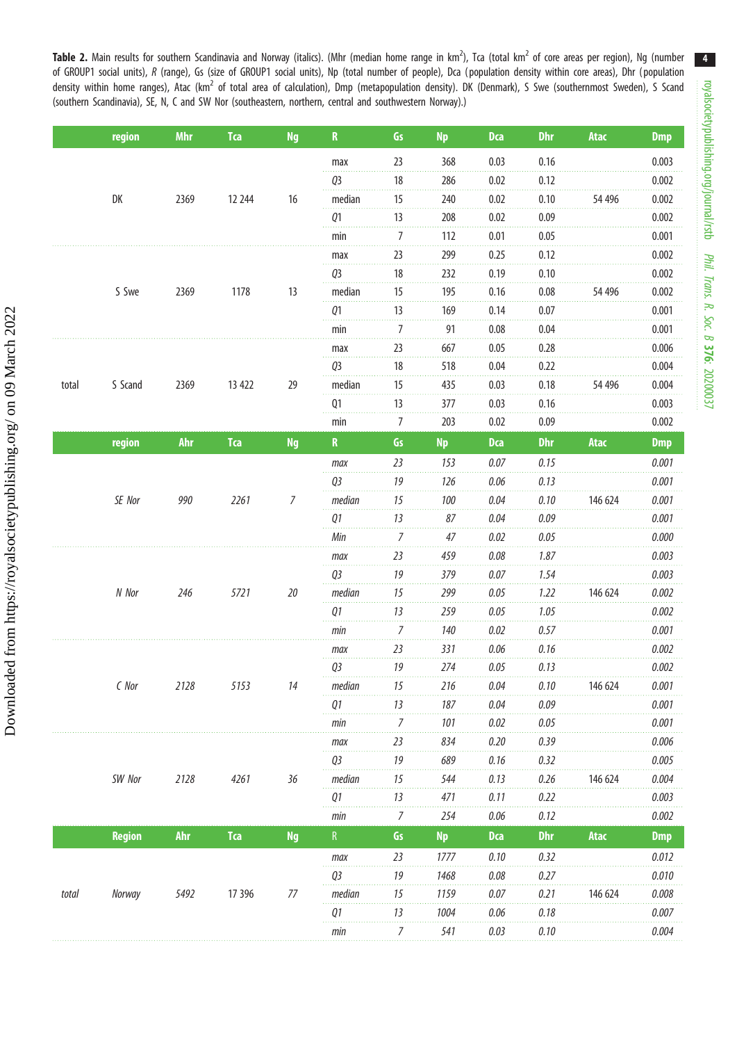<span id="page-3-0"></span>Table 2. Main results for southern Scandinavia and Norway (italics). (Mhr (median home range in km<sup>2</sup>), Tca (total km<sup>2</sup> of core areas per region), Ng (number of GROUP1 social units), R (range), Gs (size of GROUP1 social units), Np (total number of people), Dca (population density within core areas), Dhr (population density within home ranges), Atac (km<sup>2</sup> of total area of calculation), Dmp (metapopulation density). DK (Denmark), S Swe (southernmost Sweden), S Scand (southern Scandinavia), SE, N, C and SW Nor (southeastern, northern, central and southwestern Norway).)

|       | region        | <b>Mhr</b> | <b>Tca</b> | <b>Ng</b> | ${\bf R}$      | Gs               | <b>Np</b> | <b>Dca</b> | <b>Dhr</b> | Atac    | <b>Dmp</b> |
|-------|---------------|------------|------------|-----------|----------------|------------------|-----------|------------|------------|---------|------------|
|       |               |            |            |           | max            | 23               | 368       | 0.03       | 0.16       |         | 0.003      |
|       |               |            |            |           | Q3             | 18               | 286       | 0.02       | 0.12       |         | 0.002      |
|       | DK            | 2369       | 12 244     | 16        | median         | 15               | 240       | 0.02       | 0.10       | 54 496  | 0.002      |
|       |               |            |            |           | Q1             | 13               | 208       | 0.02       | 0.09       |         | 0.002      |
|       |               |            |            |           | min            | 7                | 112       | 0.01       | 0.05       |         | 0.001      |
|       |               |            |            |           | max            | 23               | 299       | 0.25       | 0.12       |         | 0.002      |
|       |               | 2369       | 1178       | 13        | Q3             | 18               | 232       | 0.19       | 0.10       |         | 0.002      |
|       | S Swe         |            |            |           | median         | 15               | 195       | 0.16       | 0.08       | 54 496  | 0.002      |
|       |               |            |            |           | Q1             | 13               | 169       | 0.14       | 0.07       |         | 0.001      |
|       |               |            |            |           | min            | $\overline{7}$   | 91        | 0.08       | 0.04       |         | 0.001      |
|       |               |            |            |           | max            | 23               | 667       | 0.05       | 0.28       |         | 0.006      |
|       |               |            |            |           | Q3             | 18               | 518       | 0.04       | 0.22       |         | 0.004      |
| total | S Scand       | 2369       | 13 422     | 29        | median         | 15               | 435       | 0.03       | 0.18       | 54 496  | 0.004      |
|       |               |            |            |           | Q <sub>1</sub> | 13               | 377       | 0.03       | 0.16       |         | 0.003      |
|       |               |            |            |           | min            | $\overline{7}$   | 203       | 0.02       | 0.09       |         | 0.002      |
|       | region        | <b>Ahr</b> | <b>Tca</b> | <b>Ng</b> | $\mathbf R$    | Gs               | <b>Np</b> | <b>Dca</b> | <b>Dhr</b> | Atac    | <b>Dmp</b> |
|       |               |            | 2261       | 7         | max            | 23               | 153       | 0.07       | 0.15       |         | 0.001      |
|       |               |            |            |           | Q3             | 19               | 126       | 0.06       | 0.13       |         | 0.001      |
|       | SE Nor        | 990        |            |           | median         | 15               | 100       | 0.04       | 0.10       | 146 624 | 0.001      |
|       |               |            |            |           | Q1             | 13               | 87        | 0.04       | 0.09       |         | 0.001      |
|       |               |            |            |           | Min            | $\overline{7}$   | 47        | 0.02       | 0.05       |         | 0.000      |
|       |               |            |            |           | max            | 23               | 459       | 0.08       | 1.87       |         | 0.003      |
|       |               |            |            |           | Q3             | 19               | 379       | 0.07       | 1.54       |         | 0.003      |
|       | N Nor         | 246        | 5721       | $20\,$    | median         | 15               | 299       | 0.05       | 1.22       | 146 624 | 0.002      |
|       |               |            |            |           | Q1             | 13               | 259       | 0.05       | 1.05       |         | 0.002      |
|       |               |            |            |           | min            | $\boldsymbol{7}$ | 140       | 0.02       | 0.57       |         | 0.001      |
|       | $C$ Nor       | 2128       | 5153       | 14        | max            | 23               | 331       | $0.06$     | 0.16       |         | 0.002      |
|       |               |            |            |           | Q3             | 19               | 274       | 0.05       | 0.13       |         | 0.002      |
|       |               |            |            |           | median         | 15               | 216       | 0.04       | 0.10       | 146 624 | 0.001      |
|       |               |            |            |           | 01             | 13               | 187       | 0.04       | 0.09       |         | 0.001      |
|       |               |            |            | min       | $\overline{7}$ | 101              | 0.02      | 0.05       |            | 0.001   |            |
|       |               |            |            |           | max            | 23               | 834       | 0.20       | 0.39       |         | 0.006      |
|       |               |            |            |           | Q3             | 19               | 689       | 0.16       | 0.32       |         | 0.005      |
|       | SW Nor        | 2128       | 4261       | 36        | median         | 15               | 544       | 0.13       | 0.26       | 146 624 | 0.004      |
|       |               |            |            |           | Q1             | 13               | 471       | 0.11       | 0.22       |         | 0.003      |
|       |               |            |            |           | min            | $\boldsymbol{7}$ | 254       | $0.06$     | 0.12       |         | 0.002      |
|       | <b>Region</b> | <b>Ahr</b> | <b>Tca</b> | <b>Ng</b> | ${\sf R}$      | Gs               | <b>Np</b> | <b>Dca</b> | Dhr        | Atac    | <b>Dmp</b> |
|       |               |            |            |           | max            | 23               | 1777      | 0.10       | 0.32       |         | 0.012      |
| total |               |            |            |           | Q3             | 19               | 1468      | 0.08       | 0.27       |         | 0.010      |
|       | Norway        | 5492       | 17 39 6    | $77$      | median         | 15               | 1159      | 0.07       | 0.21       | 146 624 | 0.008      |
|       |               |            |            |           | Q1             | 13               | 1004      | 0.06       | 0.18       |         | 0.007      |
|       |               |            |            |           | min            | $\boldsymbol{7}$ | 541       | 0.03       | 0.10       |         | 0.004      |

4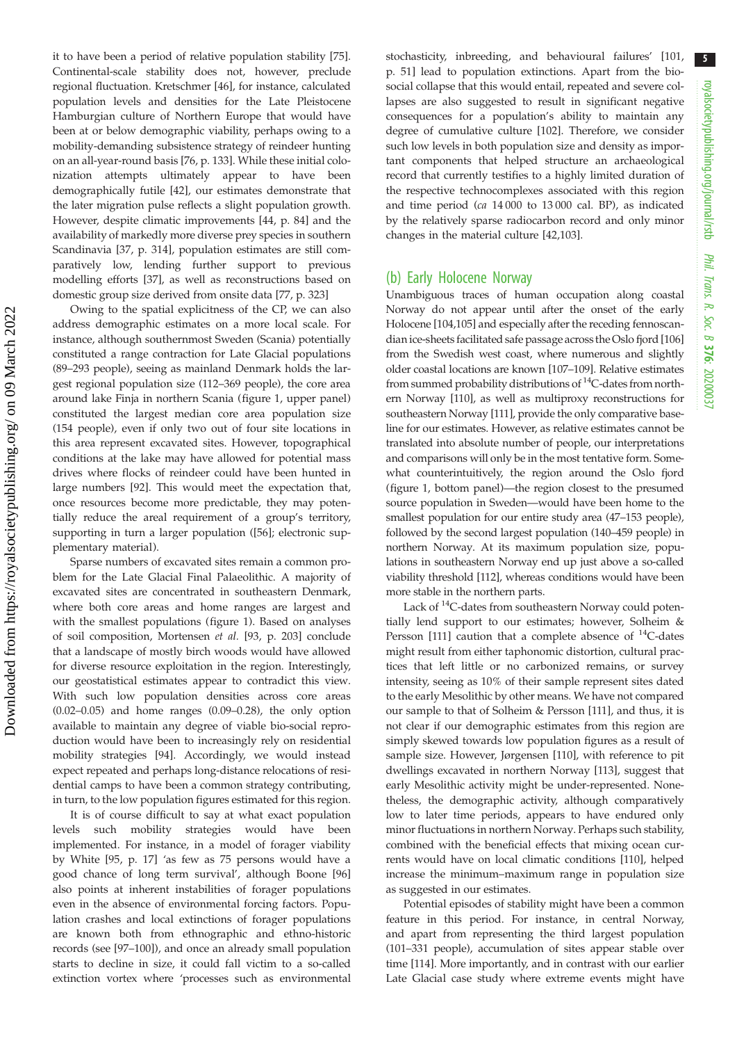it to have been a period of relative population stability [\[75](#page-8-0)]. Continental-scale stability does not, however, preclude regional fluctuation. Kretschmer [[46\]](#page-7-0), for instance, calculated population levels and densities for the Late Pleistocene Hamburgian culture of Northern Europe that would have been at or below demographic viability, perhaps owing to a mobility-demanding subsistence strategy of reindeer hunting on an all-year-round basis [[76,](#page-8-0) p. 133]. While these initial colonization attempts ultimately appear to have been demographically futile [\[42](#page-7-0)], our estimates demonstrate that the later migration pulse reflects a slight population growth. However, despite climatic improvements [\[44](#page-7-0), p. 84] and the availability of markedly more diverse prey species in southern Scandinavia [[37,](#page-7-0) p. 314], population estimates are still comparatively low, lending further support to previous modelling efforts [[37\]](#page-7-0), as well as reconstructions based on domestic group size derived from onsite data [[77,](#page-8-0) p. 323]

Owing to the spatial explicitness of the CP, we can also address demographic estimates on a more local scale. For instance, although southernmost Sweden (Scania) potentially constituted a range contraction for Late Glacial populations (89–293 people), seeing as mainland Denmark holds the largest regional population size (112–369 people), the core area around lake Finja in northern Scania ([figure 1](#page-5-0), upper panel) constituted the largest median core area population size (154 people), even if only two out of four site locations in this area represent excavated sites. However, topographical conditions at the lake may have allowed for potential mass drives where flocks of reindeer could have been hunted in large numbers [\[92](#page-8-0)]. This would meet the expectation that, once resources become more predictable, they may potentially reduce the areal requirement of a group's territory, supporting in turn a larger population ([[56\]](#page-7-0); electronic supplementary material).

Sparse numbers of excavated sites remain a common problem for the Late Glacial Final Palaeolithic. A majority of excavated sites are concentrated in southeastern Denmark, where both core areas and home ranges are largest and with the smallest populations ([figure 1](#page-5-0)). Based on analyses of soil composition, Mortensen et al. [\[93](#page-8-0), p. 203] conclude that a landscape of mostly birch woods would have allowed for diverse resource exploitation in the region. Interestingly, our geostatistical estimates appear to contradict this view. With such low population densities across core areas (0.02–0.05) and home ranges (0.09–0.28), the only option available to maintain any degree of viable bio-social reproduction would have been to increasingly rely on residential mobility strategies [\[94](#page-8-0)]. Accordingly, we would instead expect repeated and perhaps long-distance relocations of residential camps to have been a common strategy contributing, in turn, to the low population figures estimated for this region.

It is of course difficult to say at what exact population levels such mobility strategies would have been implemented. For instance, in a model of forager viability by White [[95,](#page-8-0) p. 17] 'as few as 75 persons would have a good chance of long term survival', although Boone [[96\]](#page-8-0) also points at inherent instabilities of forager populations even in the absence of environmental forcing factors. Population crashes and local extinctions of forager populations are known both from ethnographic and ethno-historic records (see [\[97](#page-8-0)–[100](#page-8-0)]), and once an already small population starts to decline in size, it could fall victim to a so-called extinction vortex where 'processes such as environmental stochasticity, inbreeding, and behavioural failures' [\[101](#page-8-0), p. 51] lead to population extinctions. Apart from the biosocial collapse that this would entail, repeated and severe collapses are also suggested to result in significant negative consequences for a population's ability to maintain any degree of cumulative culture [[102](#page-8-0)]. Therefore, we consider such low levels in both population size and density as important components that helped structure an archaeological record that currently testifies to a highly limited duration of the respective technocomplexes associated with this region and time period (ca 14 000 to 13 000 cal. BP), as indicated by the relatively sparse radiocarbon record and only minor changes in the material culture [\[42](#page-7-0)[,103\]](#page-8-0).

#### (b) Early Holocene Norway

Unambiguous traces of human occupation along coastal Norway do not appear until after the onset of the early Holocene [\[104,105\]](#page-9-0) and especially after the receding fennoscandian ice-sheets facilitated safe passage across the Oslo fjord [[106\]](#page-9-0) from the Swedish west coast, where numerous and slightly older coastal locations are known [[107](#page-9-0)–[109\]](#page-9-0). Relative estimates from summed probability distributions of  ${}^{14}C$ -dates from northern Norway [[110](#page-9-0)], as well as multiproxy reconstructions for southeastern Norway [\[111](#page-9-0)], provide the only comparative baseline for our estimates. However, as relative estimates cannot be translated into absolute number of people, our interpretations and comparisons will only be in the most tentative form. Somewhat counterintuitively, the region around the Oslo fjord ([figure 1,](#page-5-0) bottom panel)—the region closest to the presumed source population in Sweden—would have been home to the smallest population for our entire study area (47–153 people), followed by the second largest population (140–459 people) in northern Norway. At its maximum population size, populations in southeastern Norway end up just above a so-called viability threshold [\[112\]](#page-9-0), whereas conditions would have been more stable in the northern parts.

Lack of <sup>14</sup>C-dates from southeastern Norway could potentially lend support to our estimates; however, Solheim & Persson [\[111\]](#page-9-0) caution that a complete absence of  $^{14}$ C-dates might result from either taphonomic distortion, cultural practices that left little or no carbonized remains, or survey intensity, seeing as 10% of their sample represent sites dated to the early Mesolithic by other means. We have not compared our sample to that of Solheim & Persson [\[111\]](#page-9-0), and thus, it is not clear if our demographic estimates from this region are simply skewed towards low population figures as a result of sample size. However, Jørgensen [[110\]](#page-9-0), with reference to pit dwellings excavated in northern Norway [[113\]](#page-9-0), suggest that early Mesolithic activity might be under-represented. Nonetheless, the demographic activity, although comparatively low to later time periods, appears to have endured only minor fluctuations in northern Norway. Perhaps such stability, combined with the beneficial effects that mixing ocean currents would have on local climatic conditions [\[110](#page-9-0)], helped increase the minimum–maximum range in population size as suggested in our estimates.

Potential episodes of stability might have been a common feature in this period. For instance, in central Norway, and apart from representing the third largest population (101–331 people), accumulation of sites appear stable over time [[114\]](#page-9-0). More importantly, and in contrast with our earlier Late Glacial case study where extreme events might have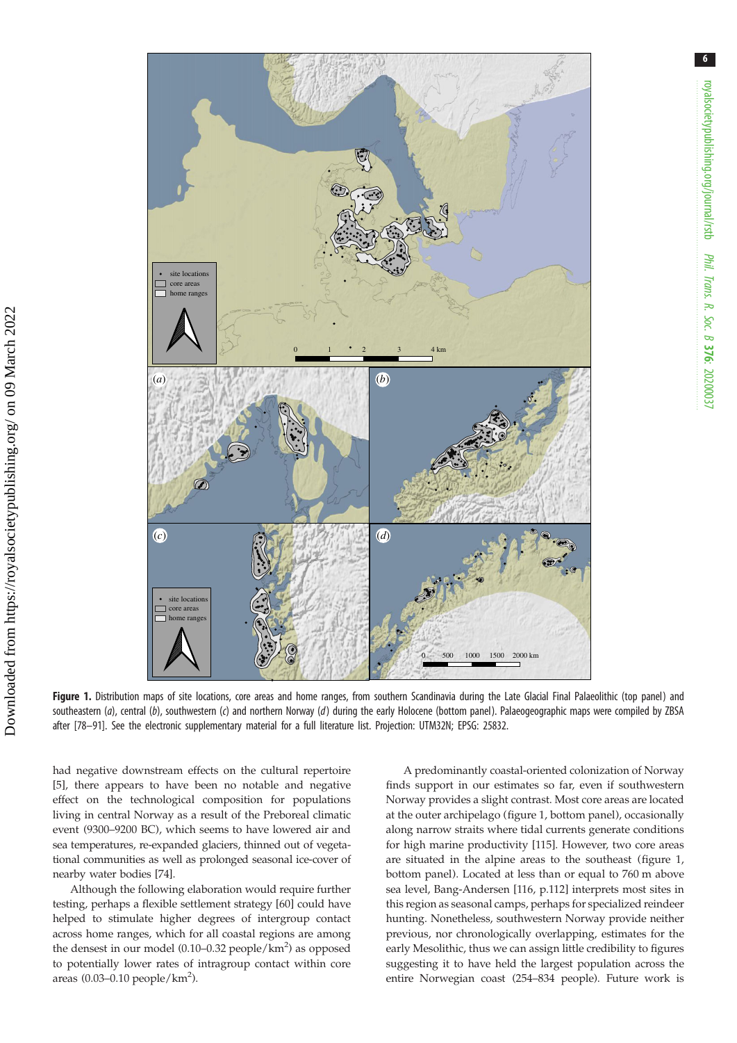<span id="page-5-0"></span>

Figure 1. Distribution maps of site locations, core areas and home ranges, from southern Scandinavia during the Late Glacial Final Palaeolithic (top panel) and southeastern (a), central (b), southwestern (c) and northern Norway (d) during the early Holocene (bottom panel). Palaeogeographic maps were compiled by ZBSA after [\[78](#page-8-0)–[91](#page-8-0)]. See the electronic supplementary material for a full literature list. Projection: UTM32N; EPSG: 25832.

had negative downstream effects on the cultural repertoire [\[5\]](#page-6-0), there appears to have been no notable and negative effect on the technological composition for populations living in central Norway as a result of the Preboreal climatic event (9300–9200 BC), which seems to have lowered air and sea temperatures, re-expanded glaciers, thinned out of vegetational communities as well as prolonged seasonal ice-cover of nearby water bodies [[74\]](#page-8-0).

Although the following elaboration would require further testing, perhaps a flexible settlement strategy [[60\]](#page-7-0) could have helped to stimulate higher degrees of intergroup contact across home ranges, which for all coastal regions are among the densest in our model  $(0.10-0.32 \text{ people/km}^2)$  as opposed to potentially lower rates of intragroup contact within core areas  $(0.03-0.10$  people/ $km^2$ ).

A predominantly coastal-oriented colonization of Norway finds support in our estimates so far, even if southwestern Norway provides a slight contrast. Most core areas are located at the outer archipelago (figure 1, bottom panel), occasionally along narrow straits where tidal currents generate conditions for high marine productivity [[115\]](#page-9-0). However, two core areas are situated in the alpine areas to the southeast (figure 1, bottom panel). Located at less than or equal to 760 m above sea level, Bang-Andersen [[116,](#page-9-0) p.112] interprets most sites in this region as seasonal camps, perhaps for specialized reindeer hunting. Nonetheless, southwestern Norway provide neither previous, nor chronologically overlapping, estimates for the early Mesolithic, thus we can assign little credibility to figures suggesting it to have held the largest population across the entire Norwegian coast (254–834 people). Future work is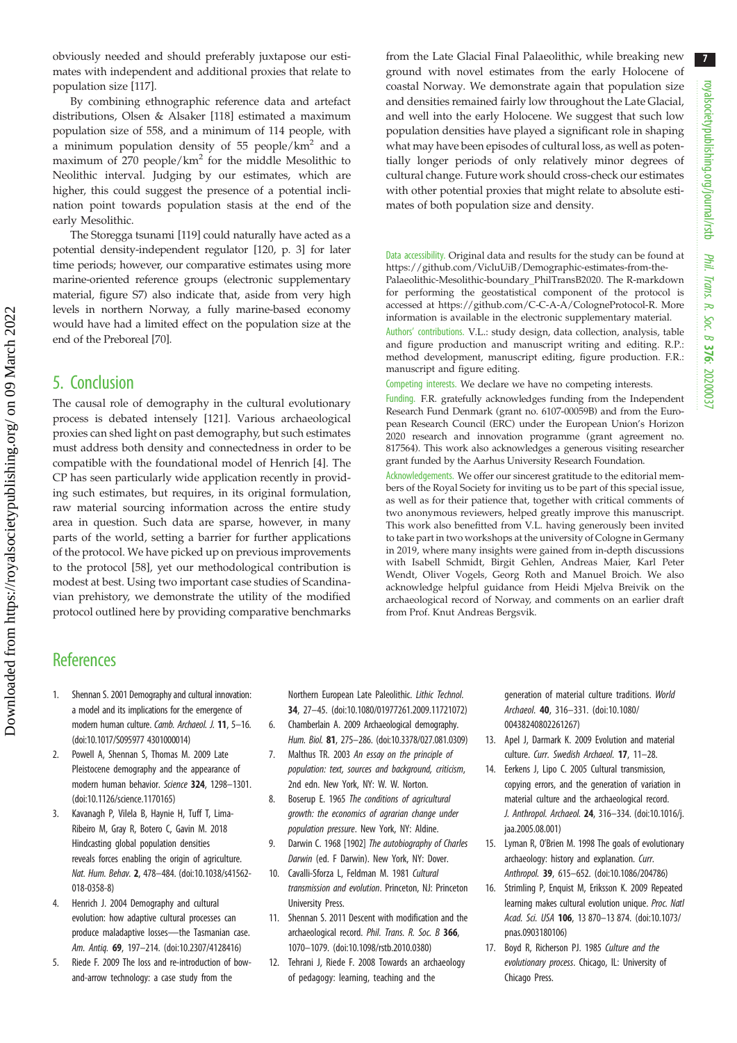7

<span id="page-6-0"></span>obviously needed and should preferably juxtapose our estimates with independent and additional proxies that relate to population size [[117\]](#page-9-0).

By combining ethnographic reference data and artefact distributions, Olsen & Alsaker [[118\]](#page-9-0) estimated a maximum population size of 558, and a minimum of 114 people, with a minimum population density of 55 people/km<sup>2</sup> and a maximum of  $270$  people/km<sup>2</sup> for the middle Mesolithic to Neolithic interval. Judging by our estimates, which are higher, this could suggest the presence of a potential inclination point towards population stasis at the end of the early Mesolithic.

The Storegga tsunami [\[119](#page-9-0)] could naturally have acted as a potential density-independent regulator [[120,](#page-9-0) p. 3] for later time periods; however, our comparative estimates using more marine-oriented reference groups (electronic supplementary material, figure S7) also indicate that, aside from very high levels in northern Norway, a fully marine-based economy would have had a limited effect on the population size at the end of the Preboreal [\[70](#page-8-0)].

### 5. Conclusion

The causal role of demography in the cultural evolutionary process is debated intensely [[121](#page-9-0)]. Various archaeological proxies can shed light on past demography, but such estimates must address both density and connectedness in order to be compatible with the foundational model of Henrich [4]. The CP has seen particularly wide application recently in providing such estimates, but requires, in its original formulation, raw material sourcing information across the entire study area in question. Such data are sparse, however, in many parts of the world, setting a barrier for further applications of the protocol. We have picked up on previous improvements to the protocol [\[58](#page-7-0)], yet our methodological contribution is modest at best. Using two important case studies of Scandinavian prehistory, we demonstrate the utility of the modified protocol outlined here by providing comparative benchmarks from the Late Glacial Final Palaeolithic, while breaking new ground with novel estimates from the early Holocene of coastal Norway. We demonstrate again that population size and densities remained fairly low throughout the Late Glacial, and well into the early Holocene. We suggest that such low population densities have played a significant role in shaping what may have been episodes of cultural loss, as well as potentially longer periods of only relatively minor degrees of cultural change. Future work should cross-check our estimates with other potential proxies that might relate to absolute estimates of both population size and density.

Data accessibility. Original data and results for the study can be found at [https://github.com/VicluUiB/Demographic-estimates-from-the-](https://github.com/VicluUiB/Demographic-estimates-from-the-Palaeolithic-Mesolithic-boundary_PhilTransB2020)[Palaeolithic-Mesolithic-boundary\\_PhilTransB2020.](https://github.com/VicluUiB/Demographic-estimates-from-the-Palaeolithic-Mesolithic-boundary_PhilTransB2020) The R-markdown for performing the geostatistical component of the protocol is accessed at<https://github.com/C-C-A-A/CologneProtocol-R>. More information is available in the electronic supplementary material.

Authors' contributions. V.L.: study design, data collection, analysis, table and figure production and manuscript writing and editing. R.P.: method development, manuscript editing, figure production. F.R.: manuscript and figure editing.

Competing interests. We declare we have no competing interests.

Funding. F.R. gratefully acknowledges funding from the Independent Research Fund Denmark (grant no. 6107-00059B) and from the European Research Council (ERC) under the European Union's Horizon 2020 research and innovation programme (grant agreement no. 817564). This work also acknowledges a generous visiting researcher grant funded by the Aarhus University Research Foundation.

Acknowledgements. We offer our sincerest gratitude to the editorial members of the Royal Society for inviting us to be part of this special issue, as well as for their patience that, together with critical comments of two anonymous reviewers, helped greatly improve this manuscript. This work also benefitted from V.L. having generously been invited to take part in two workshops at the university of Cologne in Germany in 2019, where many insights were gained from in-depth discussions with Isabell Schmidt, Birgit Gehlen, Andreas Maier, Karl Peter Wendt, Oliver Vogels, Georg Roth and Manuel Broich. We also acknowledge helpful guidance from Heidi Mjelva Breivik on the archaeological record of Norway, and comments on an earlier draft from Prof. Knut Andreas Bergsvik.

### **References**

- 1. Shennan S. 2001 Demography and cultural innovation: a model and its implications for the emergence of modern human culture. Camb. Archaeol. J. 11, 5–16. [\(doi:10.1017/S095977 4301000014\)](http://dx.doi.org/10.1017/S0959774301000014)
- 2. Powell A, Shennan S, Thomas M. 2009 Late Pleistocene demography and the appearance of modern human behavior. Science 324, 1298–1301. [\(doi:10.1126/science.1170165\)](http://dx.doi.org/10.1126/science.1170165)
- 3. Kavanagh P, Vilela B, Haynie H, Tuff T, Lima-Ribeiro M, Gray R, Botero C, Gavin M. 2018 Hindcasting global population densities reveals forces enabling the origin of agriculture. Nat. Hum. Behav. 2, 478–484. ([doi:10.1038/s41562-](http://dx.doi.org/10.1038/s41562-018-0358-8) [018-0358-8\)](http://dx.doi.org/10.1038/s41562-018-0358-8)
- 4. Henrich J. 2004 Demography and cultural evolution: how adaptive cultural processes can produce maladaptive losses—the Tasmanian case. Am. Antiq. 69, 197–214. ([doi:10.2307/4128416\)](http://dx.doi.org/10.2307/4128416)
- 5. Riede F. 2009 The loss and re-introduction of bowand-arrow technology: a case study from the

Northern European Late Paleolithic. Lithic Technol. 34, 27–45. [\(doi:10.1080/01977261.2009.11721072](http://dx.doi.org/10.1080/01977261.2009.11721072))

- 6. Chamberlain A. 2009 Archaeological demography. Hum. Biol. 81, 275–286. [\(doi:10.3378/027.081.0309\)](http://dx.doi.org/10.3378/027.081.0309)
- 7. Malthus TR. 2003 An essay on the principle of population: text, sources and backaround, criticism, 2nd edn. New York, NY: W. W. Norton.
- 8. Boserup E. 1965 The conditions of agricultural growth: the economics of agrarian change under population pressure. New York, NY: Aldine.
- 9. Darwin C. 1968 [1902] The autobiography of Charles Darwin (ed. F Darwin). New York, NY: Dover.
- 10. Cavalli-Sforza L, Feldman M. 1981 Cultural transmission and evolution. Princeton, NJ: Princeton University Press.
- 11. Shennan S. 2011 Descent with modification and the archaeological record. Phil. Trans. R. Soc. B 366, 1070–1079. [\(doi:10.1098/rstb.2010.0380\)](http://dx.doi.org/10.1098/rstb.2010.0380)
- 12. Tehrani J, Riede F. 2008 Towards an archaeology of pedagogy: learning, teaching and the

generation of material culture traditions. World Archaeol. 40, 316–331. ([doi:10.1080/](http://dx.doi.org/10.1080/00438240802261267) [00438240802261267](http://dx.doi.org/10.1080/00438240802261267))

- 13. Apel J, Darmark K. 2009 Evolution and material culture. Curr. Swedish Archaeol. 17, 11-28.
- 14. Eerkens J, Lipo C. 2005 Cultural transmission, copying errors, and the generation of variation in material culture and the archaeological record. J. Anthropol. Archaeol. 24, 316–334. ([doi:10.1016/j.](http://dx.doi.org/10.1016/j.jaa.2005.08.001) [jaa.2005.08.001](http://dx.doi.org/10.1016/j.jaa.2005.08.001))
- 15. Lyman R, O'Brien M. 1998 The goals of evolutionary archaeology: history and explanation. Curr. Anthropol. 39, 615–652. ([doi:10.1086/204786](http://dx.doi.org/10.1086/204786))
- 16. Strimling P, Enquist M, Eriksson K. 2009 Repeated learning makes cultural evolution unique. Proc. Natl Acad. Sci. USA 106, 13 870–13 874. ([doi:10.1073/](http://dx.doi.org/10.1073/pnas.0903180106) [pnas.0903180106\)](http://dx.doi.org/10.1073/pnas.0903180106)
- 17. Boyd R, Richerson PJ. 1985 Culture and the evolutionary process. Chicago, IL: University of Chicago Press.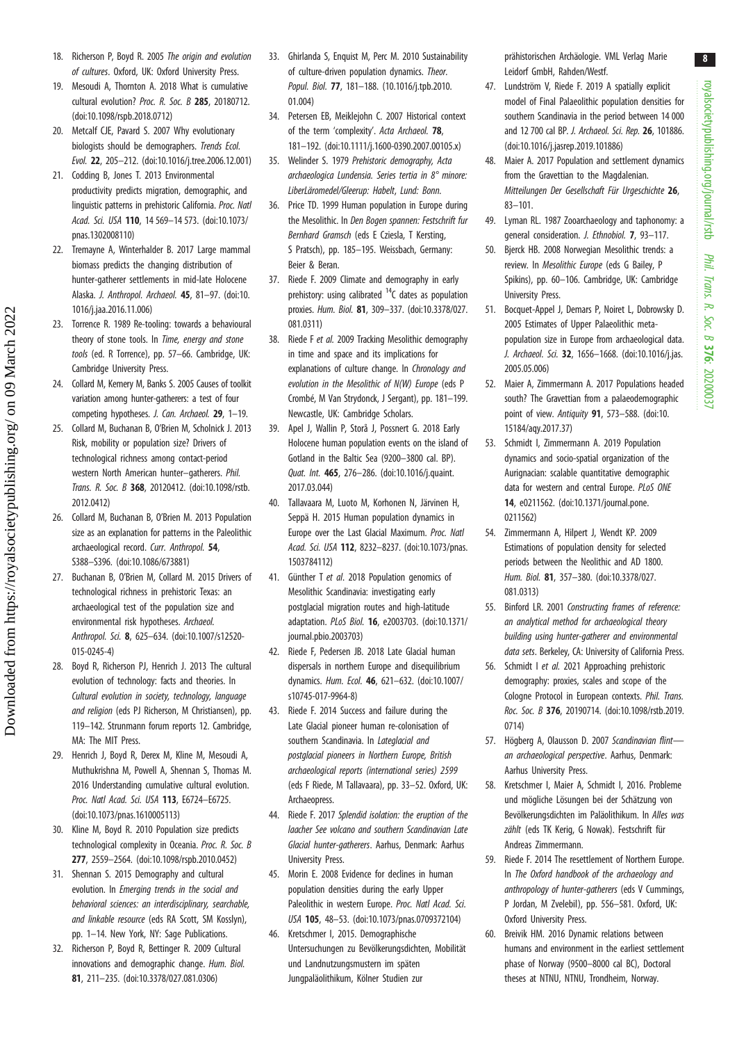8

- <span id="page-7-0"></span>18. Richerson P, Boyd R. 2005 The origin and evolution of cultures. Oxford, UK: Oxford University Press.
- 19. Mesoudi A, Thornton A. 2018 What is cumulative cultural evolution? Proc. R. Soc. B 285, 20180712. [\(doi:10.1098/rspb.2018.0712](http://dx.doi.org/10.1098/rspb.2018.0712))
- 20. Metcalf CJE, Pavard S. 2007 Why evolutionary biologists should be demographers. Trends Ecol. Evol. 22, 205–212. ([doi:10.1016/j.tree.2006.12.001\)](http://dx.doi.org/10.1016/j.tree.2006.12.001)
- 21. Codding B, Jones T. 2013 Environmental productivity predicts migration, demographic, and linguistic patterns in prehistoric California. Proc. Natl Acad. Sci. USA 110, 14 569–14 573. ([doi:10.1073/](http://dx.doi.org/10.1073/pnas.1302008110) [pnas.1302008110](http://dx.doi.org/10.1073/pnas.1302008110))
- 22. Tremayne A, Winterhalder B. 2017 Large mammal biomass predicts the changing distribution of hunter-gatherer settlements in mid-late Holocene Alaska. J. Anthropol. Archaeol. 45, 81–97. [\(doi:10.](http://dx.doi.org/10.1016/j.jaa.2016.11.006) [1016/j.jaa.2016.11.006\)](http://dx.doi.org/10.1016/j.jaa.2016.11.006)
- 23. Torrence R. 1989 Re-tooling: towards a behavioural theory of stone tools. In Time, energy and stone tools (ed. R Torrence), pp. 57–66. Cambridge, UK: Cambridge University Press.
- 24. Collard M, Kemery M, Banks S. 2005 Causes of toolkit variation among hunter-gatherers: a test of four competing hypotheses. J. Can. Archaeol. 29, 1–19.
- 25. Collard M, Buchanan B, O'Brien M, Scholnick J. 2013 Risk, mobility or population size? Drivers of technological richness among contact-period western North American hunter–gatherers. Phil. Trans. R. Soc. B 368, 20120412. [\(doi:10.1098/rstb.](http://dx.doi.org/10.1098/rstb.2012.0412) [2012.0412\)](http://dx.doi.org/10.1098/rstb.2012.0412)
- 26. Collard M, Buchanan B, O'Brien M. 2013 Population size as an explanation for patterns in the Paleolithic archaeological record. Curr. Anthropol. 54, S388–S396. [\(doi:10.1086/673881\)](http://dx.doi.org/10.1086/673881)
- 27. Buchanan B, O'Brien M, Collard M. 2015 Drivers of technological richness in prehistoric Texas: an archaeological test of the population size and environmental risk hypotheses. Archaeol. Anthropol. Sci. 8, 625–634. [\(doi:10.1007/s12520-](http://dx.doi.org/10.1007/s12520-015-0245-4) [015-0245-4\)](http://dx.doi.org/10.1007/s12520-015-0245-4)
- 28. Boyd R, Richerson PJ, Henrich J. 2013 The cultural evolution of technology: facts and theories. In Cultural evolution in society, technology, language and religion (eds PJ Richerson, M Christiansen), pp. 119–142. Strunmann forum reports 12. Cambridge, MA: The MIT Press.
- 29. Henrich J, Boyd R, Derex M, Kline M, Mesoudi A, Muthukrishna M, Powell A, Shennan S, Thomas M. 2016 Understanding cumulative cultural evolution. Proc. Natl Acad. Sci. USA 113, E6724–E6725. [\(doi:10.1073/pnas.1610005113](http://dx.doi.org/10.1073/pnas.1610005113))
- 30. Kline M, Boyd R. 2010 Population size predicts technological complexity in Oceania. Proc. R. Soc. B 277, 2559–2564. [\(doi:10.1098/rspb.2010.0452](http://dx.doi.org/10.1098/rspb.2010.0452))
- 31. Shennan S. 2015 Demography and cultural evolution. In Emerging trends in the social and behavioral sciences: an interdisciplinary, searchable, and linkable resource (eds RA Scott, SM Kosslyn), pp. 1–14. New York, NY: Sage Publications.
- 32. Richerson P, Boyd R, Bettinger R. 2009 Cultural innovations and demographic change. Hum. Biol. 81, 211–235. ([doi:10.3378/027.081.0306\)](http://dx.doi.org/10.3378/027.081.0306)
- 33. Ghirlanda S, Enquist M, Perc M. 2010 Sustainability of culture-driven population dynamics. Theor. Popul. Biol. 77, 181–188. [\(10.1016/j.tpb.2010.](http://dx.doi.org/10.1016/j.tpb.2010.01.004) [01.004](http://dx.doi.org/10.1016/j.tpb.2010.01.004))
- 34. Petersen EB, Meiklejohn C. 2007 Historical context of the term 'complexity'. Acta Archaeol. 78, 181–192. ([doi:10.1111/j.1600-0390.2007.00105.x](http://dx.doi.org/10.1111/j.1600-0390.2007.00105.x))
- 35. Welinder S. 1979 Prehistoric demography, Acta archaeologica Lundensia. Series tertia in 8° minore: LiberLäromedel/Gleerup: Habelt, Lund: Bonn.
- 36. Price TD. 1999 Human population in Europe during the Mesolithic. In Den Bogen spannen: Festschrift fur Bernhard Gramsch (eds E Cziesla, T Kersting, S Pratsch), pp. 185–195. Weissbach, Germany: Beier & Beran.
- 37. Riede F. 2009 Climate and demography in early prehistory: using calibrated  $14C$  dates as population proxies. Hum. Biol. 81, 309–337. ([doi:10.3378/027.](http://dx.doi.org/10.3378/027.081.0311) [081.0311](http://dx.doi.org/10.3378/027.081.0311))
- 38. Riede F et al. 2009 Tracking Mesolithic demography in time and space and its implications for explanations of culture change. In Chronology and evolution in the Mesolithic of N(W) Europe (eds P Crombé, M Van Strydonck, J Sergant), pp. 181–199. Newcastle, UK: Cambridge Scholars.
- 39. Apel J, Wallin P, Storå J, Possnert G. 2018 Early Holocene human population events on the island of Gotland in the Baltic Sea (9200–3800 cal. BP). Quat. Int. 465, 276–286. ([doi:10.1016/j.quaint.](http://dx.doi.org/10.1016/j.quaint.2017.03.044) [2017.03.044\)](http://dx.doi.org/10.1016/j.quaint.2017.03.044)
- 40. Tallavaara M, Luoto M, Korhonen N, Järvinen H, Seppä H. 2015 Human population dynamics in Europe over the Last Glacial Maximum. Proc. Natl Acad. Sci. USA 112, 8232–8237. ([doi:10.1073/pnas.](http://dx.doi.org/10.1073/pnas.1503784112) [1503784112\)](http://dx.doi.org/10.1073/pnas.1503784112)
- 41. Günther T et al. 2018 Population genomics of Mesolithic Scandinavia: investigating early postglacial migration routes and high-latitude adaptation. PLoS Biol. 16, e2003703. [\(doi:10.1371/](http://dx.doi.org/10.1371/journal.pbio.2003703) [journal.pbio.2003703](http://dx.doi.org/10.1371/journal.pbio.2003703))
- 42. Riede F, Pedersen JB. 2018 Late Glacial human dispersals in northern Europe and disequilibrium dynamics. Hum. Ecol. 46, 621–632. ([doi:10.1007/](http://dx.doi.org/10.1007/s10745-017-9964-8) [s10745-017-9964-8\)](http://dx.doi.org/10.1007/s10745-017-9964-8)
- 43. Riede F. 2014 Success and failure during the Late Glacial pioneer human re-colonisation of southern Scandinavia. In Latealacial and postglacial pioneers in Northern Europe, British archaeological reports (international series) 2599 (eds F Riede, M Tallavaara), pp. 33–52. Oxford, UK: Archaeopress.
- 44. Riede F. 2017 Splendid isolation: the eruption of the laacher See volcano and southern Scandinavian Late Glacial hunter-gatherers. Aarhus, Denmark: Aarhus University Press.
- 45. Morin E. 2008 Evidence for declines in human population densities during the early Upper Paleolithic in western Europe. Proc. Natl Acad. Sci. USA 105, 48–53. [\(doi:10.1073/pnas.0709372104](http://dx.doi.org/10.1073/pnas.0709372104))
- 46. Kretschmer I, 2015. Demographische Untersuchungen zu Bevölkerungsdichten, Mobilität und Landnutzungsmustern im späten Jungpaläolithikum, Kölner Studien zur

prähistorischen Archäologie. VML Verlag Marie Leidorf GmbH, Rahden/Westf.

- 47. Lundström V, Riede F. 2019 A spatially explicit model of Final Palaeolithic population densities for southern Scandinavia in the period between 14 000 and 12 700 cal BP. J. Archaeol. Sci. Rep. 26, 101886. ([doi:10.1016/j.jasrep.2019.101886](http://dx.doi.org/10.1016/j.jasrep.2019.101886))
- 48. Maier A. 2017 Population and settlement dynamics from the Gravettian to the Magdalenian. Mitteilungen Der Gesellschaft Für Urgeschichte 26, 83–101.
- 49. Lyman RL. 1987 Zooarchaeology and taphonomy: a general consideration. J. Ethnobiol. 7, 93–117.
- 50. Bjerck HB. 2008 Norwegian Mesolithic trends: a review. In Mesolithic Europe (eds G Bailey, P Spikins), pp. 60–106. Cambridge, UK: Cambridge University Press.
- 51. Bocquet-Appel J, Demars P, Noiret L, Dobrowsky D. 2005 Estimates of Upper Palaeolithic metapopulation size in Europe from archaeological data. J. Archaeol. Sci. 32, 1656-1668. ([doi:10.1016/j.jas.](http://dx.doi.org/10.1016/j.jas.2005.05.006) [2005.05.006](http://dx.doi.org/10.1016/j.jas.2005.05.006))
- 52. Maier A, Zimmermann A. 2017 Populations headed south? The Gravettian from a palaeodemographic point of view. Antiquity 91, 573–588. [\(doi:10.](http://dx.doi.org/10.15184/aqy.2017.37) [15184/aqy.2017.37](http://dx.doi.org/10.15184/aqy.2017.37))
- 53. Schmidt I, Zimmermann A. 2019 Population dynamics and socio-spatial organization of the Aurignacian: scalable quantitative demographic data for western and central Europe. PLoS ONE 14, e0211562. ([doi:10.1371/journal.pone.](http://dx.doi.org/10.1371/journal.pone.0211562) [0211562](http://dx.doi.org/10.1371/journal.pone.0211562))
- 54. Zimmermann A, Hilpert J, Wendt KP. 2009 Estimations of population density for selected periods between the Neolithic and AD 1800. Hum. Biol. 81, 357–380. ([doi:10.3378/027.](http://dx.doi.org/10.3378/027.081.0313) [081.0313](http://dx.doi.org/10.3378/027.081.0313))
- 55. Binford LR. 2001 Constructing frames of reference: an analytical method for archaeological theory building using hunter-gatherer and environmental data sets. Berkeley, CA: University of California Press.
- 56. Schmidt I et al. 2021 Approaching prehistoric demography: proxies, scales and scope of the Cologne Protocol in European contexts. Phil. Trans. Roc. Soc. B 376, 20190714. [\(doi:10.1098/rstb.2019.](http://dx.doi.org/10.1098/rstb.2019.0714) [0714](http://dx.doi.org/10.1098/rstb.2019.0714))
- 57. Högberg A, Olausson D. 2007 Scandinavian flintan archaeological perspective. Aarhus, Denmark: Aarhus University Press.
- 58. Kretschmer I, Maier A, Schmidt I, 2016. Probleme und mögliche Lösungen bei der Schätzung von Bevölkerungsdichten im Paläolithikum. In Alles was zählt (eds TK Kerig, G Nowak). Festschrift für Andreas Zimmermann.
- 59. Riede F. 2014 The resettlement of Northern Europe. In The Oxford handbook of the archaeology and anthropology of hunter-gatherers (eds V Cummings, P Jordan, M Zvelebil), pp. 556–581. Oxford, UK: Oxford University Press.
- 60. Breivik HM. 2016 Dynamic relations between humans and environment in the earliest settlement phase of Norway (9500–8000 cal BC), Doctoral theses at NTNU, NTNU, Trondheim, Norway.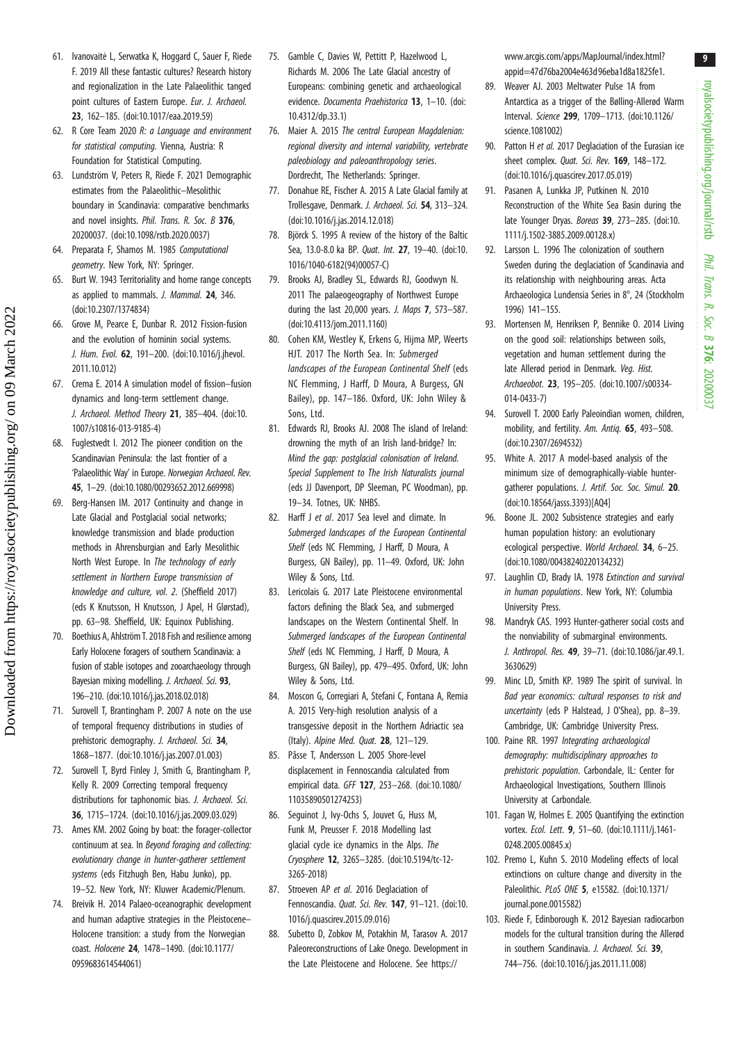- <span id="page-8-0"></span>61. Ivanovaitė L, Serwatka K, Hoggard C, Sauer F, Riede F. 2019 All these fantastic cultures? Research history and regionalization in the Late Palaeolithic tanged point cultures of Eastern Europe. Eur. J. Archaeol. 23, 162–185. ([doi:10.1017/eaa.2019.59\)](http://dx.doi.org/10.1017/eaa.2019.59)
- 62. R Core Team 2020 R: a Language and environment for statistical computing. Vienna, Austria: R Foundation for Statistical Computing.
- 63. Lundström V, Peters R, Riede F. 2021 Demographic estimates from the Palaeolithic–Mesolithic boundary in Scandinavia: comparative benchmarks and novel insights. Phil. Trans. R. Soc. B 376, 20200037. [\(doi:10.1098/rstb.2020.0037](http://dx.doi.org/10.1098/rstb.2020.0037))
- 64. Preparata F, Shamos M. 1985 Computational geometry. New York, NY: Springer.
- 65. Burt W. 1943 Territoriality and home range concepts as applied to mammals. J. Mammal. 24, 346. [\(doi:10.2307/1374834\)](http://dx.doi.org/10.2307/1374834)
- 66. Grove M, Pearce E, Dunbar R. 2012 Fission-fusion and the evolution of hominin social systems. J. Hum. Evol. 62, 191-200. ([doi:10.1016/j.jhevol.](http://dx.doi.org/10.1016/j.jhevol.2011.10.012) [2011.10.012\)](http://dx.doi.org/10.1016/j.jhevol.2011.10.012)
- 67. Crema E. 2014 A simulation model of fission–fusion dynamics and long-term settlement change. J. Archaeol. Method Theory 21, 385-404. [\(doi:10.](http://dx.doi.org/10.1007/s10816-013-9185-4) [1007/s10816-013-9185-4\)](http://dx.doi.org/10.1007/s10816-013-9185-4)
- 68. Fuglestvedt I. 2012 The pioneer condition on the Scandinavian Peninsula: the last frontier of a 'Palaeolithic Way' in Europe. Norwegian Archaeol. Rev. 45, 1–29. [\(doi:10.1080/00293652.2012.669998](http://dx.doi.org/10.1080/00293652.2012.669998))
- 69. Berg-Hansen IM. 2017 Continuity and change in Late Glacial and Postglacial social networks; knowledge transmission and blade production methods in Ahrensburgian and Early Mesolithic North West Europe. In The technology of early settlement in Northern Europe transmission of knowledge and culture, vol. 2. (Sheffield 2017) (eds K Knutsson, H Knutsson, J Apel, H Glørstad), pp. 63–98. Sheffield, UK: Equinox Publishing.
- 70. Boethius A, Ahlström T. 2018 Fish and resilience among Early Holocene foragers of southern Scandinavia: a fusion of stable isotopes and zooarchaeology through Bayesian mixing modelling. J. Archaeol. Sci. 93, 196–210. [\(doi:10.1016/j.jas.2018.02.018](http://dx.doi.org/10.1016/j.jas.2018.02.018))
- 71. Surovell T, Brantingham P. 2007 A note on the use of temporal frequency distributions in studies of prehistoric demography. J. Archaeol. Sci. 34, 1868–1877. [\(doi:10.1016/j.jas.2007.01.003](http://dx.doi.org/10.1016/j.jas.2007.01.003))
- 72. Surovell T, Byrd Finley J, Smith G, Brantingham P, Kelly R. 2009 Correcting temporal frequency distributions for taphonomic bias. J. Archaeol. Sci. 36, 1715–1724. ([doi:10.1016/j.jas.2009.03.029](http://dx.doi.org/10.1016/j.jas.2009.03.029))
- 73. Ames KM. 2002 Going by boat: the forager-collector continuum at sea. In Beyond foraging and collecting: evolutionary change in hunter-gatherer settlement systems (eds Fitzhugh Ben, Habu Junko), pp. 19–52. New York, NY: Kluwer Academic/Plenum.
- 74. Breivik H. 2014 Palaeo-oceanographic development and human adaptive strategies in the Pleistocene– Holocene transition: a study from the Norwegian coast. Holocene 24, 1478–1490. [\(doi:10.1177/](http://dx.doi.org/10.1177/0959683614544061) [0959683614544061](http://dx.doi.org/10.1177/0959683614544061))
- 75. Gamble C, Davies W, Pettitt P, Hazelwood L, Richards M. 2006 The Late Glacial ancestry of Europeans: combining genetic and archaeological evidence. Documenta Praehistorica 13, 1-10. [\(doi:](http://dx.doi.org/10.4312/dp.33.1) [10.4312/dp.33.1\)](http://dx.doi.org/10.4312/dp.33.1)
- 76. Maier A. 2015 The central European Magdalenian: regional diversity and internal variability, vertebrate paleobiology and paleoanthropology series. Dordrecht, The Netherlands: Springer.
- 77. Donahue RE, Fischer A. 2015 A Late Glacial family at Trollesgave, Denmark. J. Archaeol. Sci. 54, 313–324. [\(doi:10.1016/j.jas.2014.12.018\)](http://dx.doi.org/10.1016/j.jas.2014.12.018)
- 78. Björck S. 1995 A review of the history of the Baltic Sea, 13.0-8.0 ka BP. Quat. Int. 27, 19–40. [\(doi:10.](http://dx.doi.org/10.1016/1040-6182(94)00057-C) [1016/1040-6182\(94\)00057-C\)](http://dx.doi.org/10.1016/1040-6182(94)00057-C)
- 79. Brooks AJ, Bradley SL, Edwards RJ, Goodwyn N. 2011 The palaeogeography of Northwest Europe during the last 20,000 years. J. Maps 7, 573–587. [\(doi:10.4113/jom.2011.1160\)](http://dx.doi.org/10.4113/jom.2011.1160)
- 80. Cohen KM, Westley K, Erkens G, Hijma MP, Weerts HJT. 2017 The North Sea. In: Submerged landscapes of the European Continental Shelf (eds NC Flemming, J Harff, D Moura, A Burgess, GN Bailey), pp. 147–186. Oxford, UK: John Wiley & Sons, Ltd.
- 81. Edwards RJ, Brooks AJ. 2008 The island of Ireland: drowning the myth of an Irish land-bridge? In: Mind the gap: postglacial colonisation of Ireland. Special Supplement to The Irish Naturalists journal (eds JJ Davenport, DP Sleeman, PC Woodman), pp. 19–34. Totnes, UK: NHBS.
- 82. Harff J et al. 2017 Sea level and climate. In Submerged landscapes of the European Continental Shelf (eds NC Flemming, J Harff, D Moura, A Burgess, GN Bailey), pp. 11–49. Oxford, UK: John Wiley & Sons, Ltd.
- 83. Lericolais G. 2017 Late Pleistocene environmental factors defining the Black Sea, and submerged landscapes on the Western Continental Shelf. In Submerged landscapes of the European Continental Shelf (eds NC Flemming, J Harff, D Moura, A Burgess, GN Bailey), pp. 479–495. Oxford, UK: John Wiley & Sons, Ltd.
- 84. Moscon G, Corregiari A, Stefani C, Fontana A, Remia A. 2015 Very-high resolution analysis of a transgessive deposit in the Northern Adriactic sea (Italy). Alpine Med. Quat. 28, 121–129.
- 85. Påsse T, Andersson L. 2005 Shore-level displacement in Fennoscandia calculated from empirical data. GFF 127, 253–268. [\(doi:10.1080/](http://dx.doi.org/10.1080/11035890501274253) [11035890501274253](http://dx.doi.org/10.1080/11035890501274253))
- 86. Seguinot J, Ivy-Ochs S, Jouvet G, Huss M, Funk M, Preusser F. 2018 Modelling last glacial cycle ice dynamics in the Alps. The Cryosphere 12, 3265–3285. [\(doi:10.5194/tc-12-](http://dx.doi.org/10.5194/tc-12-3265-2018) [3265-2018](http://dx.doi.org/10.5194/tc-12-3265-2018))
- 87. Stroeven AP et al. 2016 Deglaciation of Fennoscandia. Quat. Sci. Rev. 147, 91–121. [\(doi:10.](http://dx.doi.org/10.1016/j.quascirev.2015.09.016) [1016/j.quascirev.2015.09.016\)](http://dx.doi.org/10.1016/j.quascirev.2015.09.016)
- 88. Subetto D, Zobkov M, Potakhin M, Tarasov A. 2017 Paleoreconstructions of Lake Onego. Development in the Late Pleistocene and Holocene. See [https://](https://www.arcgis.com/apps/MapJournal/index.html?appid=47d76ba2004e463d96eba1d8a1825fe1)

[www.arcgis.com/apps/MapJournal/index.html?](https://www.arcgis.com/apps/MapJournal/index.html?appid=47d76ba2004e463d96eba1d8a1825fe1) [appid=47d76ba2004e463d96eba1d8a1825fe1](https://www.arcgis.com/apps/MapJournal/index.html?appid=47d76ba2004e463d96eba1d8a1825fe1).

- 89. Weaver AJ. 2003 Meltwater Pulse 1A from Antarctica as a trigger of the Bølling-Allerød Warm Interval. Science 299, 1709–1713. ([doi:10.1126/](https://doi.org/10.1126/science.1081002) [science.1081002](https://doi.org/10.1126/science.1081002))
- 90. Patton H et al. 2017 Deglaciation of the Eurasian ice sheet complex. *Quat. Sci. Rev.* **169**, 148-172. ([doi:10.1016/j.quascirev.2017.05.019\)](http://dx.doi.org/10.1016/j.quascirev.2017.05.019)
- 91. Pasanen A, Lunkka JP, Putkinen N. 2010 Reconstruction of the White Sea Basin during the late Younger Dryas. Boreas 39, 273-285. ([doi:10.](http://dx.doi.org/10.1111/j.1502-3885.2009.00128.x) [1111/j.1502-3885.2009.00128.x\)](http://dx.doi.org/10.1111/j.1502-3885.2009.00128.x)
- 92. Larsson L. 1996 The colonization of southern Sweden during the deglaciation of Scandinavia and its relationship with neighbouring areas. Acta Archaeologica Lundensia Series in 8°, 24 (Stockholm 1996) 141–155.
- 93. Mortensen M, Henriksen P, Bennike O. 2014 Living on the good soil: relationships between soils, vegetation and human settlement during the late Allerød period in Denmark. Veg. Hist. Archaeobot. 23, 195–205. [\(doi:10.1007/s00334-](http://dx.doi.org/10.1007/s00334-014-0433-7) [014-0433-7\)](http://dx.doi.org/10.1007/s00334-014-0433-7)
- 94. Surovell T. 2000 Early Paleoindian women, children, mobility, and fertility. Am. Antia. **65**, 493-508. ([doi:10.2307/2694532](http://dx.doi.org/10.2307/2694532))
- 95. White A. 2017 A model-based analysis of the minimum size of demographically-viable huntergatherer populations. J. Artif. Soc. Soc. Simul. 20. ([doi:10.18564/jasss.3393\)](http://dx.doi.org/10.18564/jasss.3393)[AQ4]
- 96. Boone JL. 2002 Subsistence strategies and early human population history: an evolutionary ecological perspective. World Archaeol. 34, 6–25. ([doi:10.1080/00438240220134232\)](http://dx.doi.org/10.1080/00438240220134232)
- 97. Laughlin CD, Brady IA. 1978 Extinction and survival in human populations. New York, NY: Columbia University Press.
- 98. Mandryk CAS. 1993 Hunter-gatherer social costs and the nonviability of submarginal environments. J. Anthropol. Res. 49, 39–71. ([doi:10.1086/jar.49.1.](http://dx.doi.org/10.1086/jar.49.1.3630629) [3630629](http://dx.doi.org/10.1086/jar.49.1.3630629))
- 99. Minc LD, Smith KP. 1989 The spirit of survival. In Bad year economics: cultural responses to risk and uncertainty (eds P Halstead, J O'Shea), pp. 8–39. Cambridge, UK: Cambridge University Press.
- 100. Paine RR. 1997 Integrating archaeological demography: multidisciplinary approaches to prehistoric population. Carbondale, IL: Center for Archaeological Investigations, Southern Illinois University at Carbondale.
- 101. Fagan W, Holmes E. 2005 Quantifying the extinction vortex. Ecol. Lett. 9, 51–60. [\(doi:10.1111/j.1461-](http://dx.doi.org/10.1111/j.1461-0248.2005.00845.x) [0248.2005.00845.x\)](http://dx.doi.org/10.1111/j.1461-0248.2005.00845.x)
- 102. Premo L, Kuhn S. 2010 Modeling effects of local extinctions on culture change and diversity in the Paleolithic. PLoS ONE 5, e15582. ([doi:10.1371/](http://dx.doi.org/10.1371/journal.pone.0015582) [journal.pone.0015582\)](http://dx.doi.org/10.1371/journal.pone.0015582)
- 103. Riede F, Edinborough K. 2012 Bayesian radiocarbon models for the cultural transition during the Allerød in southern Scandinavia. J. Archaeol. Sci. 39, 744–756. [\(doi:10.1016/j.jas.2011.11.008](http://dx.doi.org/10.1016/j.jas.2011.11.008))